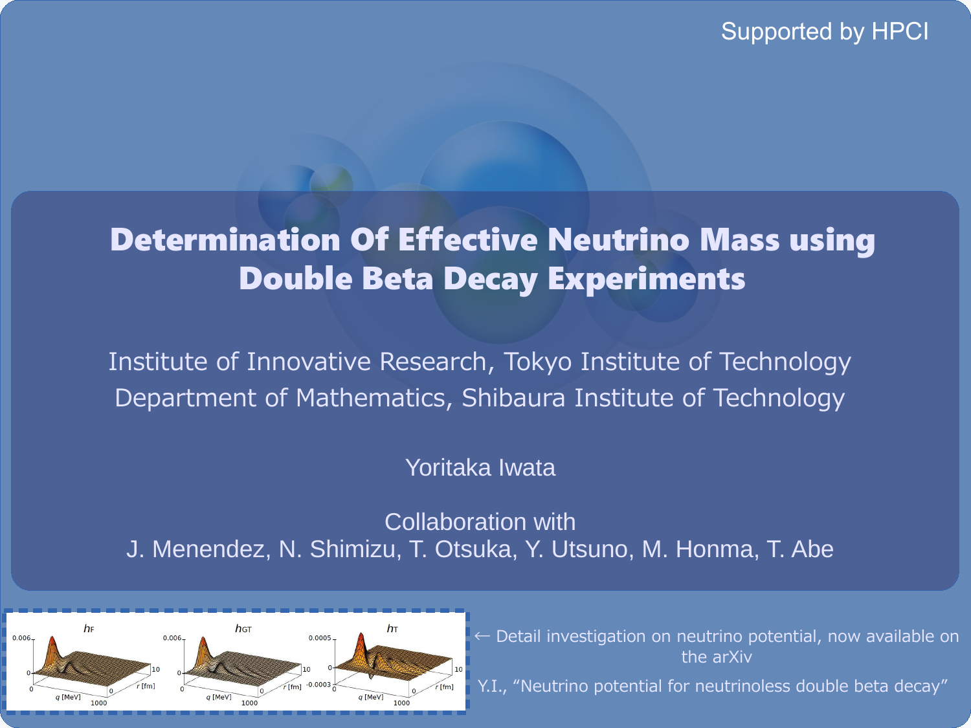### Supported by HPCI

### Determination Of Effective Neutrino Mass using Double Beta Decay Experiments

Institute of Innovative Research, Tokyo Institute of Technology Department of Mathematics, Shibaura Institute of Technology

### Yoritaka Iwata

Collaboration with J. Menendez, N. Shimizu, T. Otsuka, Y. Utsuno, M. Honma, T. Abe



← Detail investigation on neutrino potential, now available on the arXiv

Y.I., "Neutrino potential for neutrinoless double beta decay"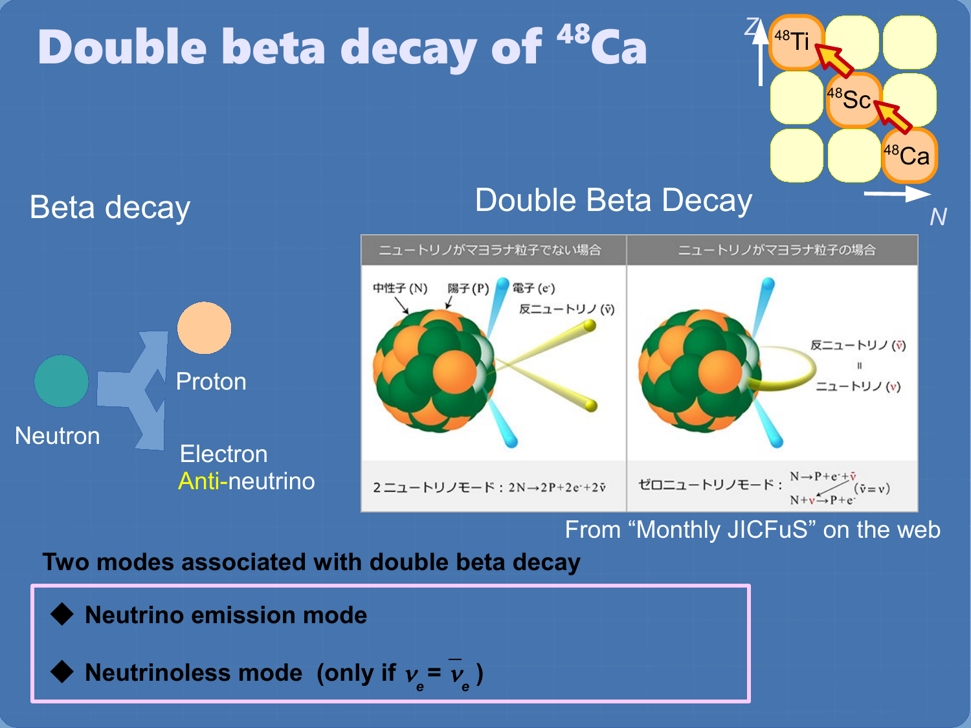#### *<sup>Z</sup>* <sup>48</sup>Ti Double beta decay of <sup>48</sup>Ca <sup>48</sup>Sc  $^{48}Ca$ Double Beta Decay Beta decay *N* ニュートリノがマヨラナ粒子でない場合 ニュートリノがマヨラナ粒子の場合 電子(e) 中性子 (N) 陽子(P) 反ニュートリノ(v) 反ニュートリノ (v) Proton ニュートリノ(v) **Neutron Electron** ゼロニュートリノモード:  $\frac{N \rightarrow P + e^+ \bar{v}}{N + v \rightarrow P + e^+} (\bar{v} = v)$  Anti-neutrino 2 ニュートリノモード: 2N→2P+2e+2v From "Monthly JICFuS" on the web **Two modes associated with double beta decay**

**Neutrino emission mode** 

 $\blacklozenge$  **Neutrinoless mode** (only if  $v_e = v_e$ )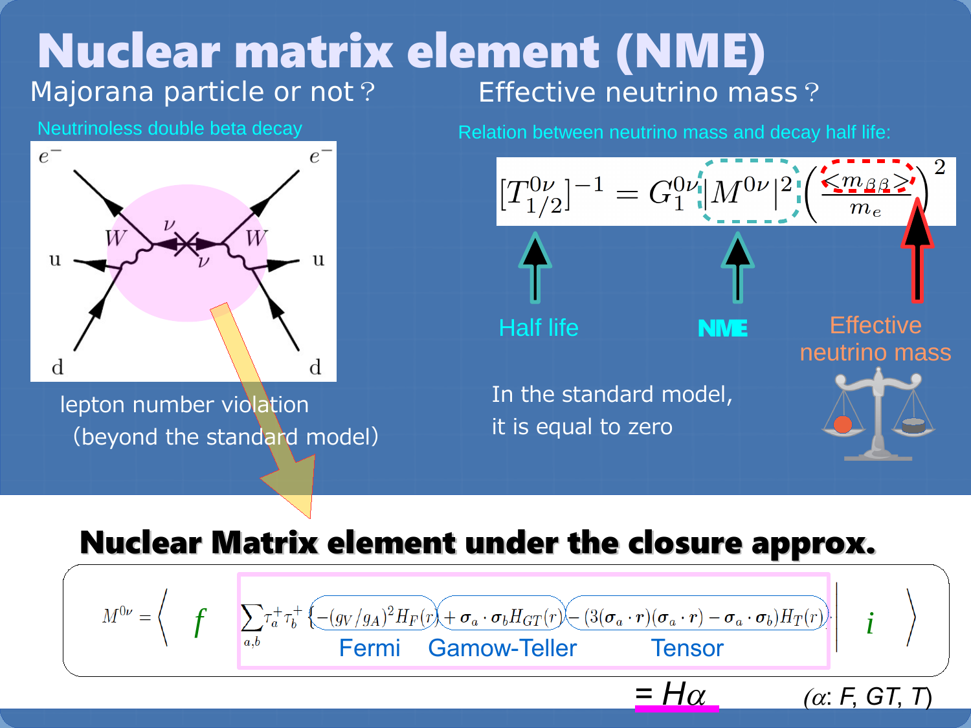### Majorana particle or not? Effective neutrino mass? Nuclear matrix element (NME)

Neutrinoless double beta decay



lepton number violation (beyond the standard model) Relation between neutrino mass and decay half life:



### Nuclear Matrix element under the closure approx.

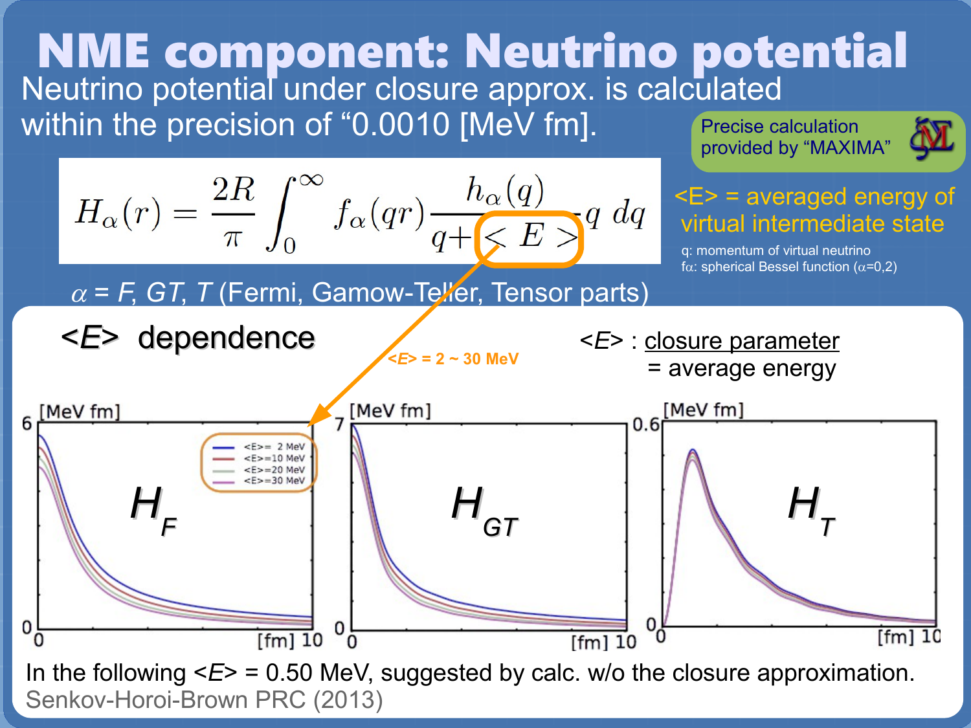### Neutrino potential under closure approx. is calculated within the precision of "0.0010 [MeV fm]. Precise calculation NME component: Neutrino potential

provided by "MAXIMA"





In the following  $\leq F$  = 0.50 MeV, suggested by calc. w/o the closure approximation. Senkov-Horoi-Brown PRC (2013)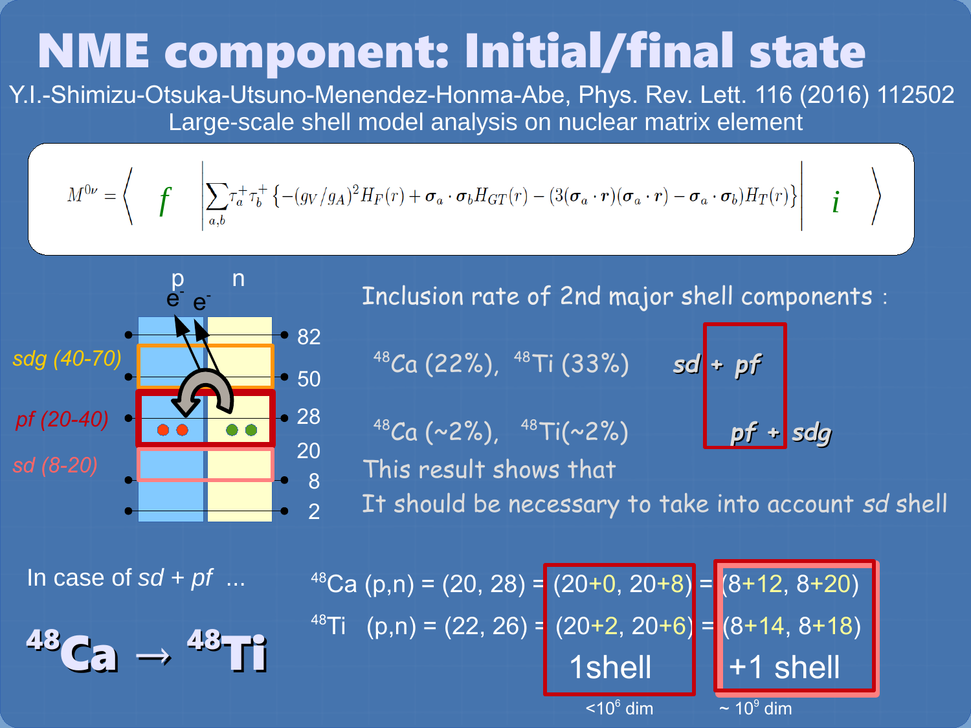# NME component: Initial/final state

Y.I.-Shimizu-Otsuka-Utsuno-Menendez-Honma-Abe, Phys. Rev. Lett. 116 (2016) 112502 Large-scale shell model analysis on nuclear matrix element

$$
M^{0\nu} = \left\langle \int \int \left| \sum_{a,b} \tau_a^+ \tau_b^+ \left\{ -(g_V/g_A)^2 H_F(r) + \boldsymbol{\sigma}_a \cdot \boldsymbol{\sigma}_b H_{GT}(r) - (3(\boldsymbol{\sigma}_a \cdot \boldsymbol{r})(\boldsymbol{\sigma}_a \cdot \boldsymbol{r}) - \boldsymbol{\sigma}_a \cdot \boldsymbol{\sigma}_b) H_T(r) \right\} \right| \boldsymbol{\dot{I}}
$$



Inclusion rate of 2nd major shell components:

<sup>48</sup>Ca (22%), <sup>48</sup>Ti (33%) *sd* **+** *pf* 

<sup>48</sup>Ca (~2%), <sup>48</sup>Ti(~2%) *pf* **+** *sdg*

This result shows that

It should be necessary to take into account *sd* shell

In case of  $sd + pf$  ...

$$
^{43}\text{Ca} \rightarrow {}^{43}\text{Ti}
$$

 $48$ Ca (p,n) = (20, 28) = (20+0, 20+8) = (8+12, 8+20) <sup>48</sup>Ti (p,n) = (22, 26) = (20+2, 20+6) = (8+14, 8+18) 1shell  $||+1$  shell  $<$ 10 $<sup>6</sup>$  dim</sup> dim  $\sim 10^9$  dim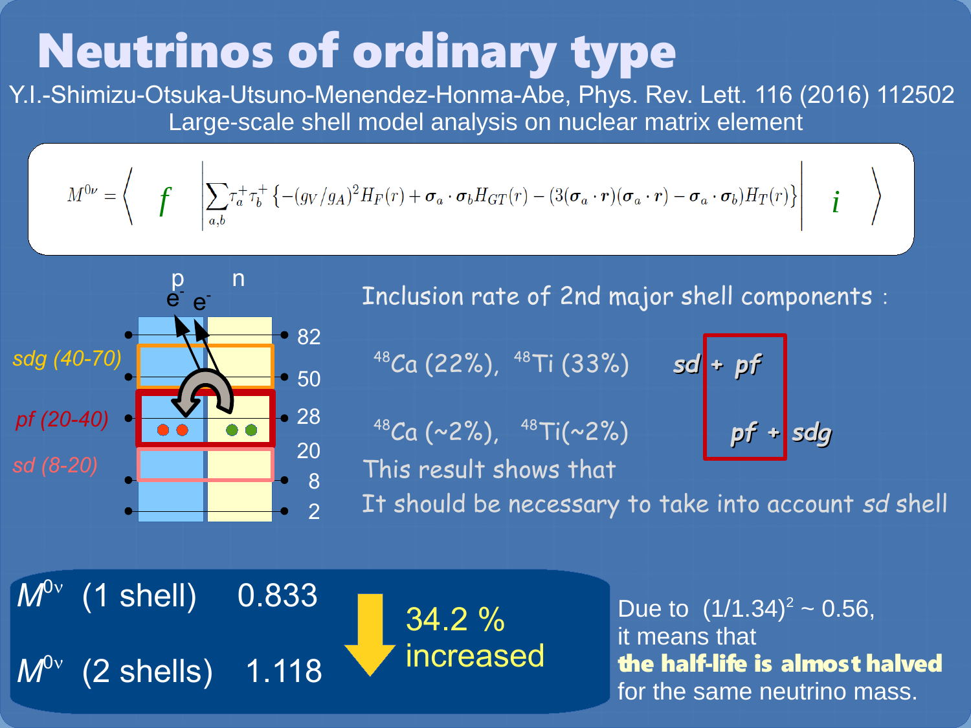# Neutrinos of ordinary type

Y.I.-Shimizu-Otsuka-Utsuno-Menendez-Honma-Abe, Phys. Rev. Lett. 116 (2016) 112502 Large-scale shell model analysis on nuclear matrix element

$$
M^{0\nu} = \begin{pmatrix} \mathbf{f} & \left| \sum_{a,b} \tau_a^+ \tau_b^+ \left\{ -(g_V/g_A)^2 H_F(r) + \boldsymbol{\sigma}_a \cdot \boldsymbol{\sigma}_b H_{GT}(r) - (3(\boldsymbol{\sigma}_a \cdot \boldsymbol{r})(\boldsymbol{\sigma}_a \cdot \boldsymbol{r}) - \boldsymbol{\sigma}_a \cdot \boldsymbol{\sigma}_b) H_T(r) \right\} \right| & \boldsymbol{i}
$$



Inclusion rate of 2nd major shell components:

<sup>48</sup>Ca (22%), <sup>48</sup>Ti (33%) *sd* **+** *pf* 

<sup>48</sup>Ca (~2%), <sup>48</sup>Ti(~2%)

This result shows that

It should be necessary to take into account *sd* shell

 $M^{0\nu}$  (1 shell) 0.833  $0v$ 

*M*

 $(2 \;$ shells)  $\; 1.118$ 

34.2 % increased

Due to  $(1/1.34)^2 \sim 0.56$ , it means that the half-life is almost halved for the same neutrino mass.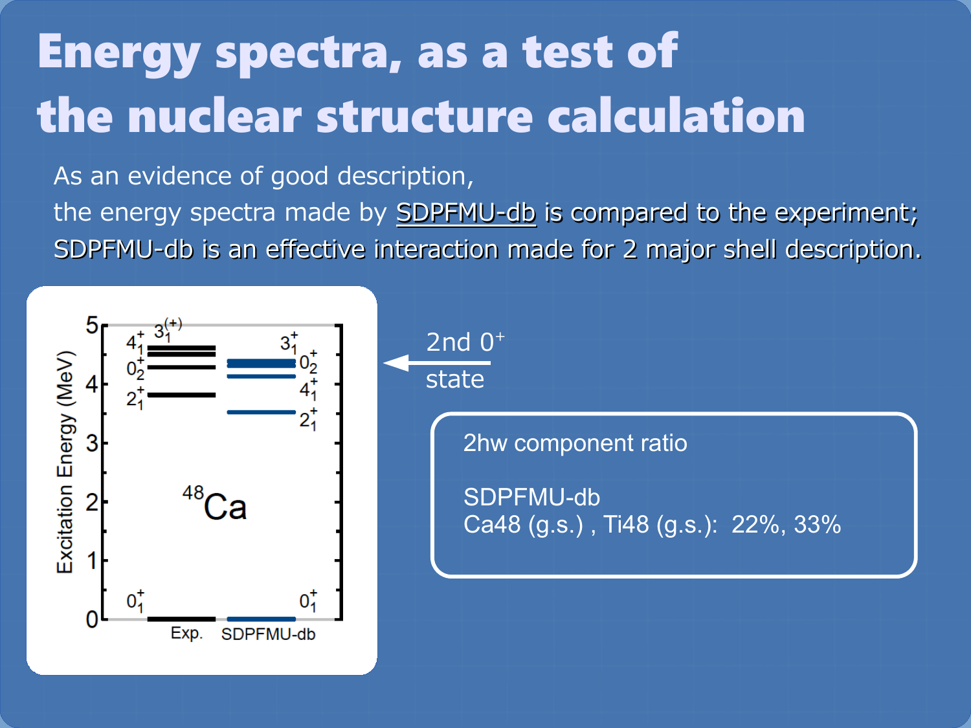# Energy spectra, as a test of the nuclear structure calculation

As an evidence of good description,

the energy spectra made by **SDPFMU-db** is compared to the experiment; SDPFMU-db is an effective interaction made for 2 major shell description.

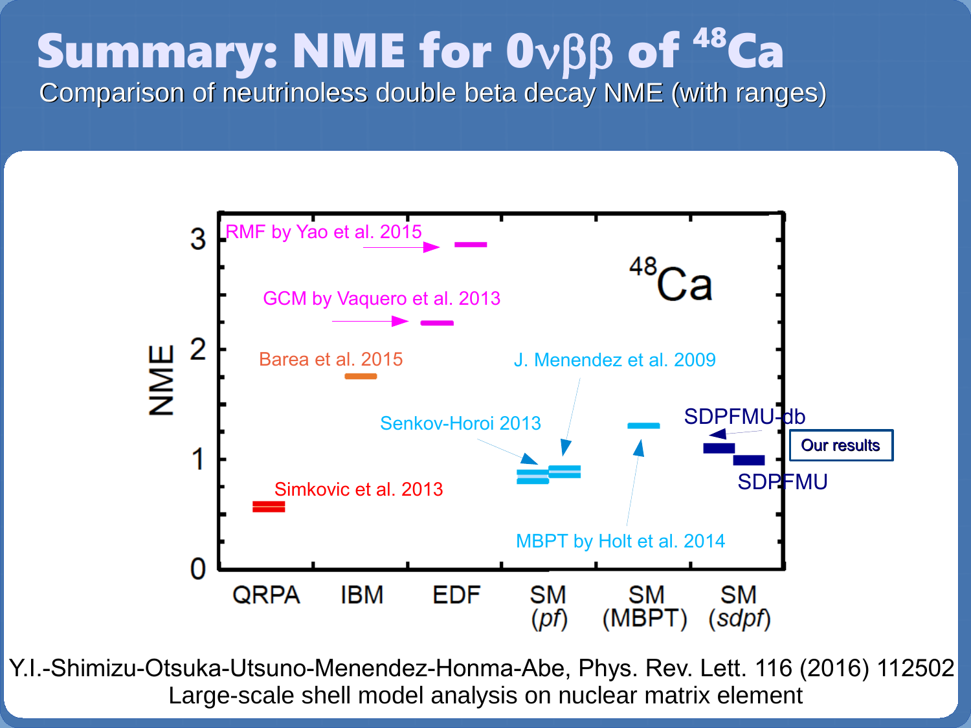# Summary: NME for 0vßß of <sup>48</sup>Ca

Comparison of neutrinoless double beta decay NME (with ranges)



Y.I.-Shimizu-Otsuka-Utsuno-Menendez-Honma-Abe, Phys. Rev. Lett. 116 (2016) 112502 Large-scale shell model analysis on nuclear matrix element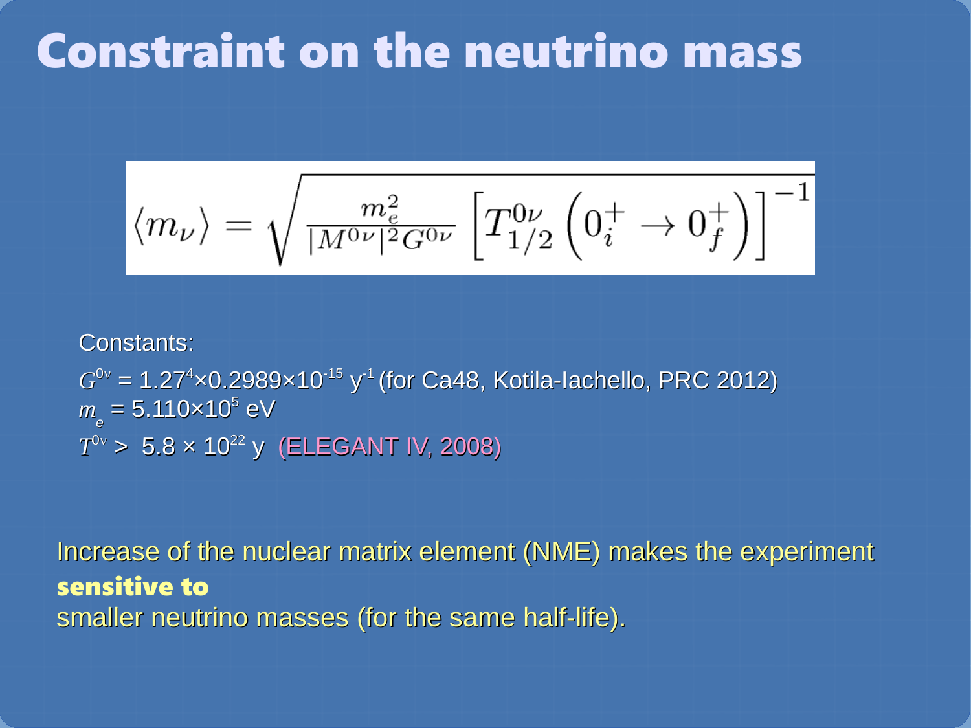### Constraint on the neutrino mass

$$
\left\langle m_{\nu}\right\rangle =\sqrt{\tfrac{m_{e}^{2}}{|M^{0\nu}|^{2}G^{0\nu}}\left[T_{1/2}^{0\nu}\left(0_{i}^{+}\rightarrow0_{f}^{+}\right)\right]^{-1}}
$$

#### Constants:

 $G^{0\nu}$  = 1.27<sup>4</sup>×0.2989×10<sup>-15</sup> y<sup>-1</sup> (for Ca48, Kotila-Iachello, PRC 2012)  $m_e^{}$  = 5.110×10<sup>5</sup> eV  $T^{0\nu}$  > 5.8  $\times$  10<sup>22</sup> y (ELEGANT IV, 2008)

Increase of the nuclear matrix element (NME) makes the experiment sensitive to smaller neutrino masses (for the same half-life).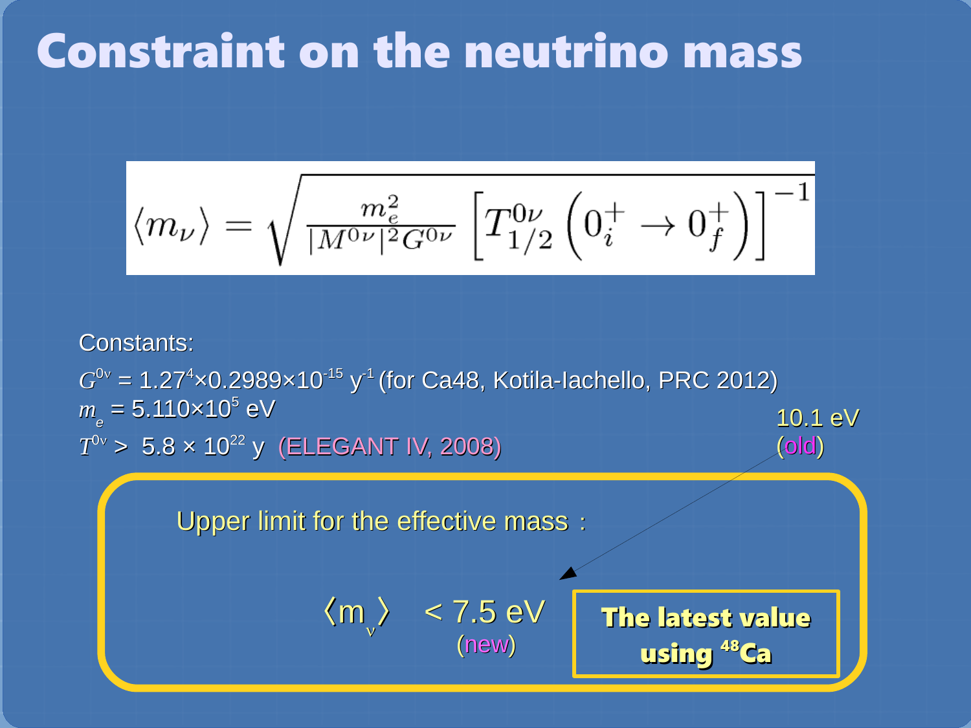## Constraint on the neutrino mass

$$
\left\langle m_{\nu}\right\rangle =\sqrt{\tfrac{m_{e}^{2}}{|M^{0\nu}|^{2}G^{0\nu}}\left[T_{1/2}^{0\nu}\left(0_{i}^{+}\rightarrow0_{f}^{+}\right)\right]^{-1}}
$$

#### Constants:

 $G^{0\nu}$  = 1.27<sup>4</sup>×0.2989×10<sup>-15</sup> y<sup>-1</sup> (for Ca48, Kotila-Iachello, PRC 2012)  $m$ <sub>e</sub> = 5.110×10<sup>5</sup> eV  $T^{0\nu}$  > 5.8  $\times$  10<sup>22</sup> y (ELEGANT IV, 2008) 10.1 eV (old)

(new)

Upper limit for the effective mass:



The latest value using <sup>48</sup>Ca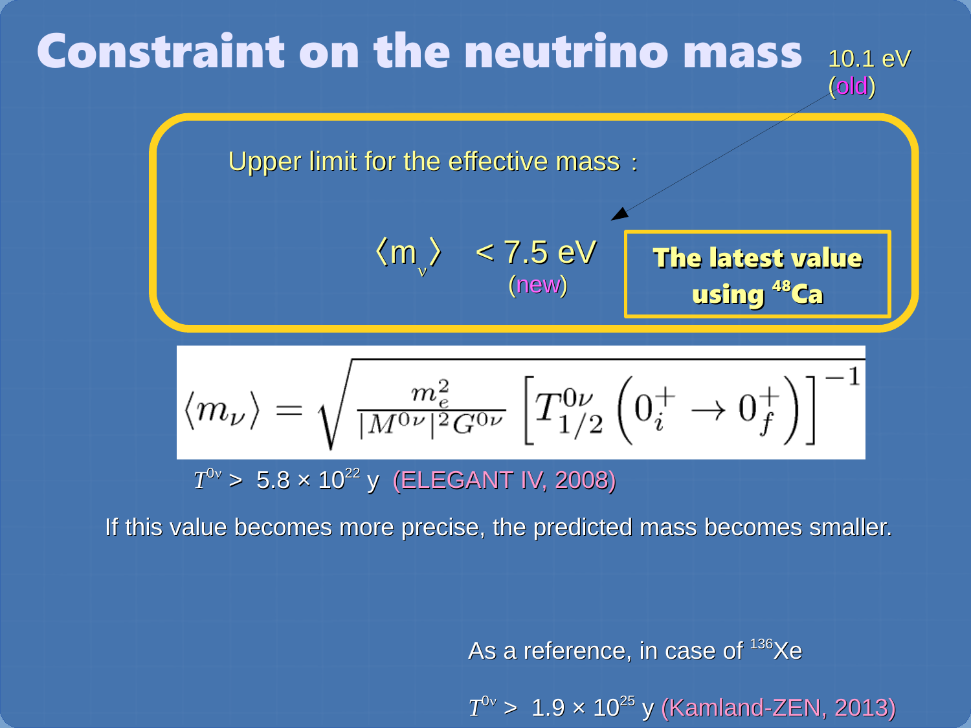#### 10.1 eV (old) Constraint on the neutrino mass

Upper limit for the effective mass:

$$
\langle m_{\text{v}} \rangle \quad < 7.5 \text{ eV} \quad \text{The latest value} \quad \text{using }^{48}\text{Ca}
$$

 $\langle m_{\nu} \rangle = \sqrt{\frac{m_e^2}{|M^{0\nu}|^2 G^{0\nu}}}\left[T_{1/2}^{0\nu}\left(0^+_i \to 0^+_f\right)\right]^{-1}$ 

 $T^{0\nu}$  > 5.8  $\times$  10<sup>22</sup> y (ELEGANT IV, 2008)

If this value becomes more precise, the predicted mass becomes smaller.

As a reference, in case of  $136$ Xe

*T* 0n > 1.9 × 10<sup>25</sup> y (Kamland-ZEN, 2013)

using <sup>48</sup>Ca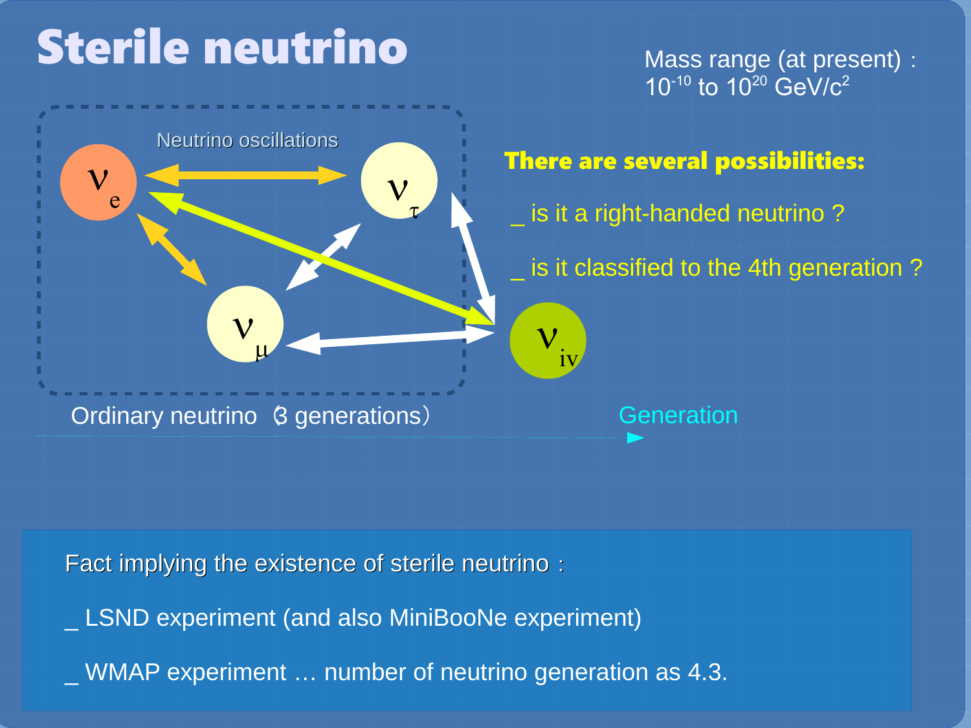# Sterile neutrino

 ${\mathsf V}$ e



# There are several possibilities: is it a right-handed neutrino? is it classified to the 4th generation?

Ordinary neutrino (3 generations)

 $\mathbf{V}$ 

Neutrino oscillations

 $\mu$ 

**Generation** 

 $\boldsymbol{\mathsf{V}}$ 

iv

Fact implying the existence of sterile neutrino:

\_ LSND experiment (and also MiniBooNe experiment)

\_ WMAP experiment … number of neutrino generation as 4.3.

 $\mathbf{V}$ t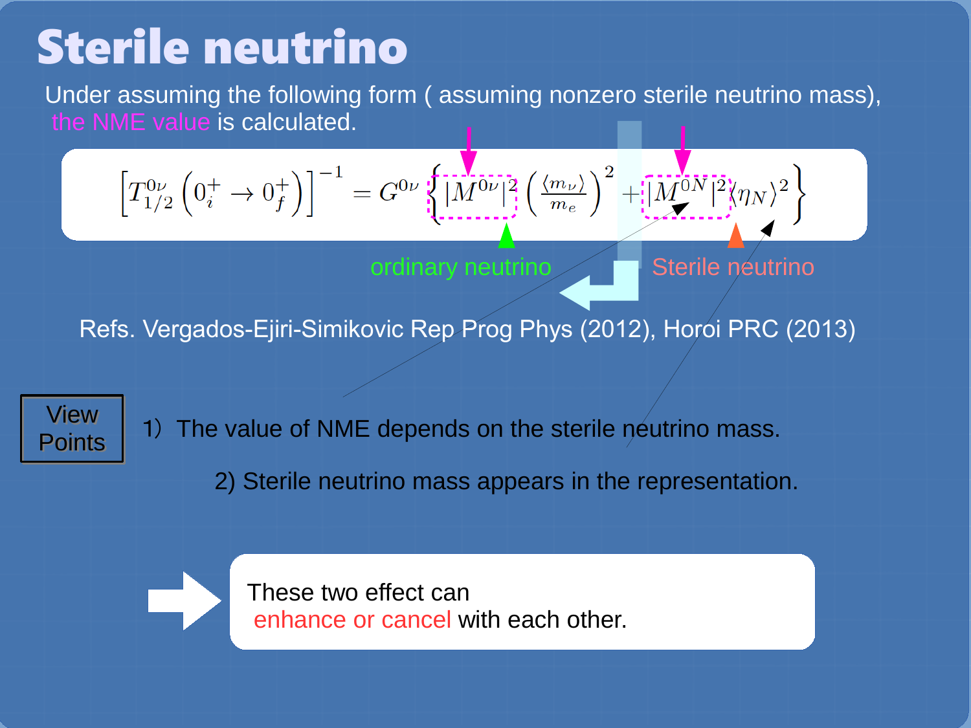## Sterile neutrino

Under assuming the following form ( assuming nonzero sterile neutrino mass), the NME value is calculated.

$$
\left[T_{1/2}^{0\nu}\left(0_{i}^{+}\to0_{f}^{+}\right)\right]^{-1}=G^{0\nu}\left\{\stackrel{\left[-\frac{1}{2}\right]}{\left|M^{0\nu}\right|^{2}}\left(\frac{\langle m_{\nu}\rangle}{m_{e}}\right)^{2}+\stackrel{\left[-\frac{1}{2}\right]}{\left|M^{0N}\right|^{2}}\langle\eta_{N}\rangle^{2}\right\}
$$

ordinary neutrino

Sterile neutrino

Refs. Vergados-Ejiri-Simikovic Rep Prog Phys (2012), Horoi PRC (2013)

View View Points Points

1) The value of NME depends on the sterile neutrino mass.

2) Sterile neutrino mass appears in the representation.



These two effect can enhance or cancel with each other.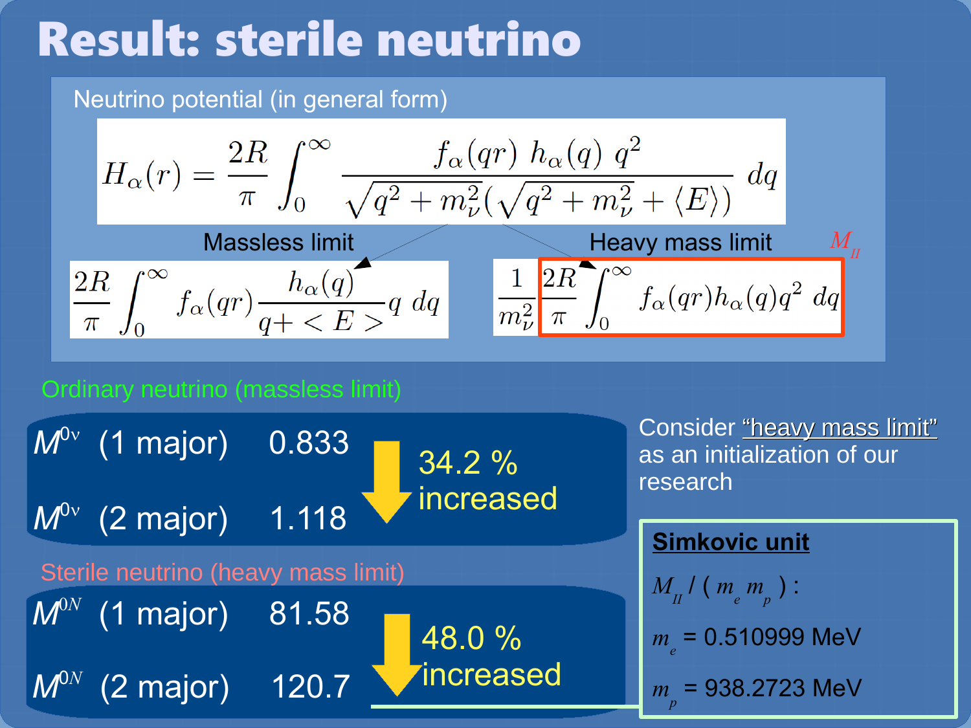# Result: sterile neutrino

### Neutrino potential (in general form)

$$
H_{\alpha}(r) = \frac{2R}{\pi} \int_0^{\infty} \frac{f_{\alpha}(qr) h_{\alpha}(q) q^2}{\sqrt{q^2 + m_{\nu}^2} (\sqrt{q^2 + m_{\nu}^2} + \langle E \rangle)} dq
$$
  
Massless limit  

$$
\frac{2R}{\pi} \int_0^{\infty} f_{\alpha}(qr) \frac{h_{\alpha}(q)}{q + \langle E \rangle} q dq
$$

$$
\frac{1}{m_{\nu}^2} \frac{2R}{\pi} \int_0^{\infty} f_{\alpha}(qr) h_{\alpha}(q) q^2 dq
$$

### Ordinary neutrino (massless limit)

| $M^{0\nu}$ (1 major)                | 0.833 | 34.2 %    |
|-------------------------------------|-------|-----------|
| $M^{0\nu}$ (2 major)                | 1.118 | increased |
| Sterile neutrino (heavy mass limit) |       |           |
| $M^{0N}$ (1 major)                  | 81.58 | 48.0 %    |
| $M^{0N}$ (2 major)                  | 120.7 | increased |

Consider "heavy mass limit" as an initialization of our research

### **Simkovic unit**

$$
M_{II}^{\ \ l} \left( \, m_{e}^{\ \ m}_{p} \, \right) :
$$

$$
m_e
$$
 = 0.510999 MeV

$$
m_{p} = 938.2723 \text{ MeV}
$$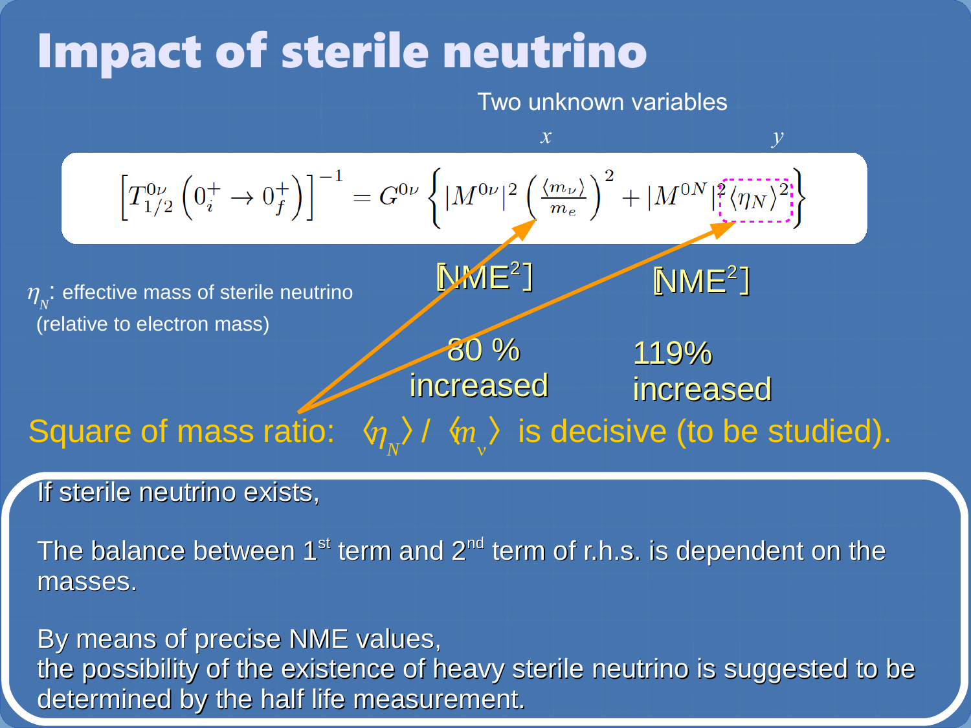## Impact of sterile neutrino

Two unknown variables

| $T_{1/2}^{0\nu} (0_i^+ \rightarrow 0_f^+)$                                | $x$                                                                                                                                                                                     | $y$ |
|---------------------------------------------------------------------------|-----------------------------------------------------------------------------------------------------------------------------------------------------------------------------------------|-----|
| $T_{1/2}^{0\nu} (0_i^+ \rightarrow 0_f^+)$                                | $1 - G^{0\nu} \left\{  M^{0\nu} ^2 \left( \frac{\langle m_\nu \rangle}{m_e} \right)^2 +  M^{0N} ^2 \left( \frac{\langle \eta_N \rangle^2}{\langle \eta_N \rangle^2} \right)^2 \right\}$ |     |
| $\eta_v$ : effective mass of sterile neutrino (relative to electron mass) |                                                                                                                                                                                         |     |
| $30\%$                                                                    | 119%                                                                                                                                                                                    |     |
| $119\%$                                                                   | increased (reasured)                                                                                                                                                                    |     |
| $50\%$                                                                    | 119%                                                                                                                                                                                    |     |
| $60\%$                                                                    | 119%                                                                                                                                                                                    |     |
| $70\%$                                                                    | 119%                                                                                                                                                                                    |     |
| $80\%$                                                                    | 119%                                                                                                                                                                                    |     |
| $100\%$                                                                   | 110%                                                                                                                                                                                    |     |
| $110\%$                                                                   | 110%                                                                                                                                                                                    |     |

#### If sterile neutrino exists, If eterile neutrino et

The balance between  $1^{st}$  term and  $2^{nd}$  term of r.h.s. is dependent on the masses.

By means of precise NME values, the possibility of the existence of heavy sterile neutrino is suggested to be determined by the half life measurement.